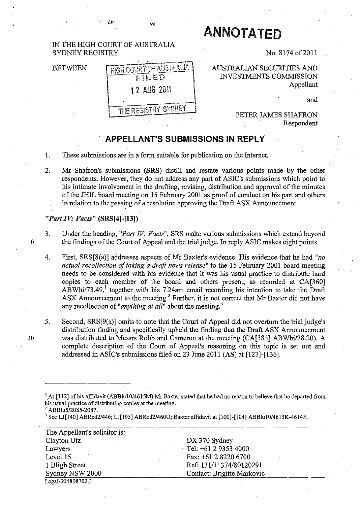## **ANNOTATED** IN THE mGH COURT OF AUSTRALIA SYDNEY REGISTRY No. S174 of 2011 **HIGH COURT OF AUSTRALIA** AUSTRALIAN SECURITIES AND BETWEEN INVESTMENTS COMMISSION FILED Appellant 12 AUG 2011 and THE REGISTRY SYDNEY PETER JAMES SHAFRON Respondent

## **APPELLANT'S SUBMISSIONS IN REPLY**

- 1. These submissions are in a form suitable for publication on the Internet.
- 2. Mr Shafron's submissions (SRS) distill and restate various points made by the other respondents. However, they do not address any part of ASIC's submissions which point to his intimate involvement in the drafting, revising, distribution and approval of the minutes of the JHIL board meeting on 15 February 2001 as proof of conduct on his part and others in relation to the passing of a resolution approving the Draft ASX Announcement.

## *"Part IV: Facts"* **(SRS[4]-[13])**

743

- 3. Under the heading, *"Part IV: Facts",* SRS make various submissions which extend beyond 10 the findings of the Court of Appeal and the trial judge. In reply ASIC makes eight points.
	- 4. First, SRS[8(a)] addresses aspects of Mr Baxter's evidence. His evidence that he had *"no actual recollection of taking a draft news release*" to the 15 February 2001 board meeting needs to be considered with his evidence that it was his usual practice to distribute hard copies to each member of the board and others present, as recorded at CA[360]  $A\overline{B}$ Whi/73.49,<sup>1</sup> together with his 7.24am email recording his intention to take the Draft ASX Announcement to the meeting.<sup>2</sup> Further, it is not correct that Mr Baxter did not have any recollection of *"anything at all*" about the meeting.<sup>3</sup>
	- 5. Second, SRS[9(a)] omits to note that the Court of Appeal did not overturn the trial judge's distribution finding and specifically upheld the finding that the Draft ASX Announcement was distributed to Messrs Robb and Cameron at the meeting (CA[383] ABWhi/78.20). A complete description of the Court of Appeal's reasoning on this topic is set out and addressed in ASIC's submissions filed on 23 June 2011 (AS) at [127]-[136].
	- <sup>1</sup> At [112] of his affidavit (ABBlu10/4615M) Mr Baxter stated that he had no reason to believe that he departed from his usual practice of distributing copies at the meeting. <sup>2</sup>*ABBlu5/2085-2087.*
	-

<sup>3</sup> See LJ[140] ABRed2/446; LJ[195] ABRed2/460U; Baxter affidavit at [100]-[104] ABBlu10/4613K-4614F.

| The Appellant's solicitor is: |                            |  |
|-------------------------------|----------------------------|--|
| Clayton Utz                   | DX 370 Sydney              |  |
| Lawyers                       | Tel: $+61293534000$        |  |
| Level 15                      | Fax: +61 2 8220 6700       |  |
| 1 Bligh Street                | Ref: 131/11374/80120291    |  |
| Sydney NSW 2000               | Contact: Brigitte Markovic |  |
| Legal\304808702.3             |                            |  |

20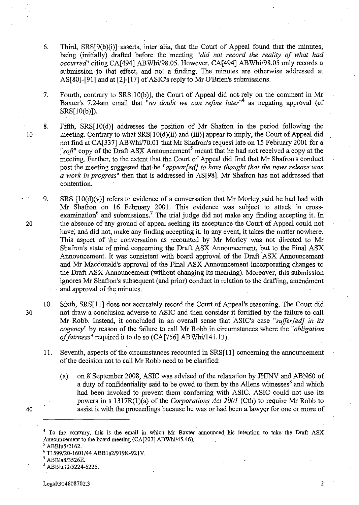- 6. Third,  $SRS[9(b)(i)]$  asserts, inter alia, that the Court of Appeal found that the minutes, being (initially) drafted before the meeting *"did not record the reality of what had occurred"* citing CA[494] ABWhil98.05.However, CA[494] *ABWhil98.05* only records a submission to that effect, and not a finding. The minutes are otherwise addressed at AS[80]-[91] and at [2]-[17] of ASIC's reply to Mr O'Brien's submissions.
- 7. Fourth, contrary to SRS[10(b)], the Court of Appeal did not rely on the comment in Mr Baxter's 7.24am email that "*no doubt we can refine later*<sup>"4</sup> as negating approval (cf  $SRS[10(b)]$ ).
- 8. Fifth, SRS[10(d)] addresses the position of Mr Shafron in the period following the 10 meeting. Contrary to what SRS[10(d)(ii) and (iii)] appear to imply, the Court of Appeal did not find at CA[337] ABWhi/70.01 that Mr Shafron's request late on 15 February 2001 for a *"soft*" copy of the Draft ASX Announcement<sup>5</sup> meant that he had not received a copy at the meeting. Further, to the extent that the Court of Appeal did find that Mr Shafron's conduct post the meeting suggested that he *"appear[edj to have thought that the news release was a work in progress"* then that is addressed in AS[98]. Mr Shafron has not addressed that contention.
- 9. SRS  $[10(d)(v)]$  refers to evidence of a conversation that Mr Morley said he had had with Mr Shafron on 16 February 2001. This evidence was subject to attack in crossexamination<sup>6</sup> and submissions.<sup>7</sup> The trial judge did not make any finding accepting it. In 20 the absence of any ground of appeal seeking its acceptance the Court of Appeal could not have, and did not, make any finding accepting it. In any event, it takes the matter nowhere. This aspect of the conversation as recounted by Mr Morley was not directed to Mr Shafron's state of mind concerning the Draft ASX Announcement, but to the Final ASX Announcement. It was consistent with board approval of the Draft ASX Announcement and Mr Macdonald's approval of the Final ASX Announcement incorporating changes to the Draft ASX Announcement (without changing its meaning). Moreover, this submission ignores Mr Shafron's subsequent (and prior) conduct in relation to the drafting, amendment and approval of the minutes.
- 10. Sixth, SRS[ll] does not accurately record the Court of Appeal's reasoning. The Court did 30 not draw a conclusion adverse to ASIC and then consider it fortified by the failure to call Mr Robb. Instead, it concluded in an overall sense that ASIC's case *"suffir[edj in its cogency"* by reason of the failure to call Mr Robb in circumstances where the *"obligation of fairness*" required it to do so (CA[756] ABWhi/141.13).
	- 11. Seventh, aspects of the circumstances recounted in SRS[ll] concerning the announcement of the decision not to call Mr Robb need to be clarified:
		- (a) on 8" September 2008, ASIC was advised of the relaxation by JHINV and ABN60 of a duty of confidentiality said to be owed to them by the Allens witnesses<sup>8</sup> and which had been invoked to prevent them conferring with ASIC. ASIC could not use its powers in s 1317R(1 )(a) of the *Corporations Act 2001* (Cth) to require Mr Robb to assist it with the proceedings because he was or had been a lawyer for one or more of

ABBlu5/2162.

40

ABBla8/3526E.

<sup>&</sup>lt;sup>4</sup> To the contrary, this is the email in which Mr Baxter announced his intention to take the Draft ASX Announcement to the board meeting (CA[207] ABWhil45.46).

<sup>6</sup> Tl599/20-1601/44 ABB1a2/919K-921 V.

<sup>8</sup> ABBlu 12/5224-5225.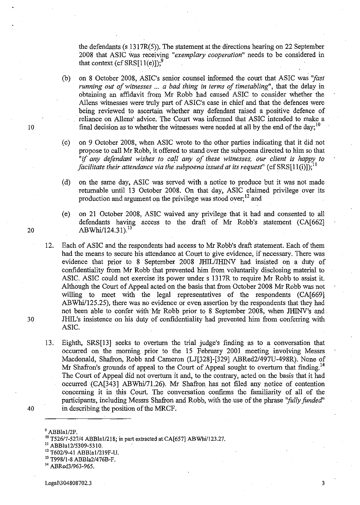the defendants (s 1317R(5». The statement at the directions hearing on 22 September 2008 that ASIC was receiving "exemplary cooperation" needs to be considered in that context (cf  $SRS[11(e)]$ );<sup>9</sup>

- (b) on 8 October 2008, ASIC's senior counsel informed the court that ASIC was *''fast running out of witnesses* ... *a bad thing in terms of timetabling",* that the delay in obtaining an affidavit from Mr Robb had caused ASIC to consider whether the Allens witnesses were truly part of ASIC's case in chief and that the defences were being reviewed to ascertain whether any defendant raised a positive defence of 'reliance on AlIens" advice. The Court was informed that ASIC intended to make a ' 10 final decision as to whether the witnesses were needed at all by the end of the day;<sup>10</sup>
	- (c) on 9 October 2008, when ASIC wrote to the other parties indicating that it did not propose to call Mr Robb, it offered to stand bver the subpoena directed to him so that *"if any defendant wishes to ca!! any of these witnesses, our client is happy to facilitate their attendance via the subpoena issued at its request*" (cf  $SRS[11(i)]$ );<sup>11</sup>
	- (d) on the same day, ASIC was served with a notice to produce but it was not made returnable until 13 October 2008. On that day, ASIC claimed privilege over its production and argument on the privilege was stood over;<sup>12</sup> and
- (e) on 21 October 2008, ASIC waived any privilege that it had and consented to all defendants having access to the draft of Mr Robb's statement (CA[662] 20 ABWhi/124.31).<sup>13</sup>
- 12. Each of ASIC and the respondents had access to Mr Robb's draft statement. Each of them had the means to secure his attendance at Court to give evidence, if necessary. There was evidence that prior to 8 September 2008 JHIL/JHINV had insisted on a duty of confidentiality from Mr Robb that prevented him from voluntarily disclosing material to ASIC. ASIC could not exercise its power under s 1317R to require Mr Robb to assist it. Although the Court of Appeal acted on the basis that from October 2008 Mr Robb was not willing to meet with the legal representatives of the respondents (CA[669] ABWhi/125.25), there was no evidence or even assertion by the respondents that they had not been able to confer with'Mr Robb prior to 8 September 2008, when JHINV's and, 30 JHIL's insistence on his duty of confidentiality had prevented him from conferring with ASIC.
- 13. Eighth, SRS[13] seeks to overturn the trial judge's finding as to a conversation that occurred on the morning prior to the 15 February 2001 meeting involving Messrs Macdonald, Shafron, Robb and Cameron (LJ[328]-[329] ABRed2/497U-498R). None of Mr Shafron's grounds of appeal to the Court of Appeal sought to overturn that finding.<sup>14</sup> The Court of Appeal did not overturn it and, to the contrary, acted on the basis that it had occurred (CA[343] ABWhi/71.26). Mr Shafron has not filed any notice of contention concerning it in this Court. The conversation confirms the familiarity of all of the participants, including Messrs Shafron and Robb, with the use of the phrase *''fully funded'*  40 in describing the position of the MRCF.
	-

 $11$  ABBlu12/5309-5310.

13 T998/1-8 ABBla2/476B-F.

Legal\304808702.3 3

ABBla1/2P.

<sup>&</sup>lt;sup>10</sup> T526/7-527/4 ABBla1/218; in part extracted at CA[657] ABWhi/123.27.

<sup>&</sup>lt;sup>12</sup> T602/9-41 ABBla1/219F-U.

<sup>&</sup>lt;sup>14</sup> ABRed3/963-965.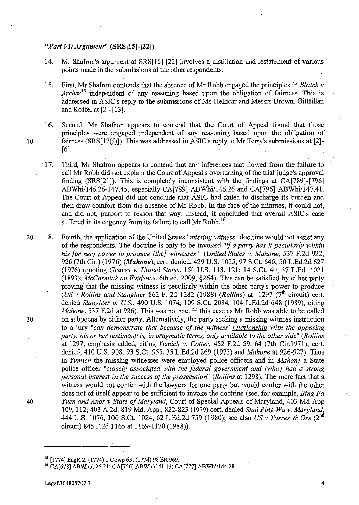## *"Part VI: Argument"* (SRS[lS]-[22])

- 14. Mr Shafron's argument at SRS[15]-[22] involves a distillation and restatement of various points made in the submissions of the other respondents.
- 15. First, Mr Shafron contends that the absence of Mr Robb engaged the principles in. *Blatch* v *Archer*l5 independent of any reasoning based upon the obligation of fairness. This is addressed in ASIC's reply to the submissions of Ms Hellicar and Messrs Brown, Gillfillan and Koffel at [2]-[13].
- 16. Second, Mr Shafron appears to contend that the Court of Appeal found that those principles were engaged 'independent of any reasoning based upon the obligation of 10 fairness (SRS[17(f)]). This was addressed in ASIC's reply to Mr Terry's submissions at [2]-  $[6]$ .
	- . 17. Third, Mr Shafron appears to contend that any inferences that flowed from the failure to call Mr Robb did not explain the Court of Appeal's overturning of the trial judge's approval finding (SRS[21]). This is completely inconsistent with the findings at CA[789]-[796] *ABWhil146.26-147.45,* especially CA[789] ABwhil146.26 and CA[796]ABWhil147.41. The Court of Appeal did not conclude that ASIC had failed to discharge its burden and then draw comfort from the absence of Mr Robb. In the face of the minutes, it could not, and did not, purport to reason that way. Instead, it concluded that overall ASIC's case suffered in its cogency from its failure to call Mr Robb.<sup>16</sup>
- 20 18. Fourth, the application of the United States *"missing witness"* doctrine would not assist any of the respondents. The doctrine is only to be invoked *"if a party has it peculiarly within his [or her} power to produce [the} witnesses" (United States* v. *Mahone,* 537 F.2d 922, 926 (7th Cir.) (1976) *(Mahone),* cert. denied, 429 U.S. 1025,97 S.Ct. 646, 50 L.Ed.2d 627 (1976) (quoting *Graves* v. *United States,* 150 U.S. 118, 121; 14 S.Ct. 40, 37 L.Ed. 1021 *(1893); McCormick on Evidence,* 6th ed, 2009, §264). This can be satisfied by either party proving that the missing witness is peculiarly within the other party's power to produce *(US v Rollins and Slaughter 862 F. 2d 1282 (1988) <i>(Rollins)* at 1297 ( $7<sup>th</sup>$  circuit) cert. denied *Slaughter* v. *u.s.,* 490 U.S. 1074, 109 S.Ct 2084, 104 L.Ed.2d 648 (1989), citing *Mahone,* 537 F.2d at 926). This was not met in this case as Mr Robb was able to be called 30 on subpoena by either party. Alternatively, the party seeking a missing witness instruction to a jury "can demonstrate that because of the witness' relationship with the opposing *party, his or her testimony is, in pragmatic terms, only available to the other side" (Rollins*  at 1297, emphasis added, citing *Yumich v. Cotter*, 452 F.2d 59, 64 (7th Cir.1971), cert. denied, 410 U.S. 908, 93 S.Ct. 955, 35 L.Ed.2d 269 (1973) and *Mahone* at 926-927). Thus in *Yumich* the missing witnesses were employed police officers and in *Mahone* a State police officer *"closely associated with the federal government and [who} had a strong personal interest in the success of the prosecution" (Rollins* at 1298). The mere fact that a witness would not confer with the lawyers for one party but would confer with the other does not of itself appear to be sufficient to invoke the doctrine (see, for example, *Bing Fa 40 Yuen and Anor* v *State of Maryland,* Court of Special Appeals of Maryland, 403 Md App 109,112; 403 A 2d. 819 Md. App., 822-823 (1979) cert. denied *Shui Ping Wu* v. *Maryland,*  444 U.S. 1076, 100 S.Ct. 1024,62 L.Ed.2d 759 (1980); see also *US* v *Torres* & *Ors* (2nd circuit) 845 F.2d 1165 at 1169-1170 (1988)).

Lega11304808702.3 4

<sup>&</sup>lt;sup>15</sup> [1774] EngR 2; (1774) 1 Cowp 63; (1774) 98 ER 969.

<sup>&</sup>lt;sup>16</sup> CA[678] ABWhi/126.21; CA[756] ABWhi/141.13; CA[777] ABWhi/144.28.